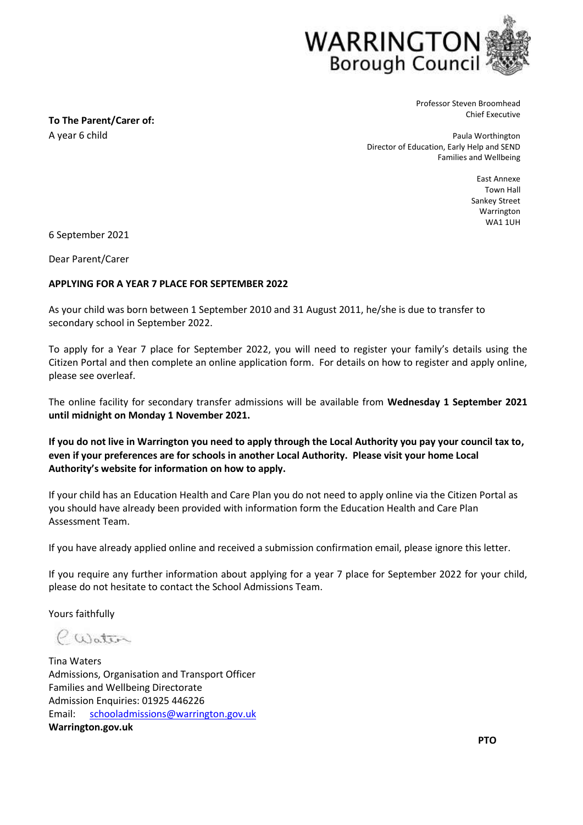

Professor Steven Broomhead Chief Executive

Paula Worthington Director of Education, Early Help and SEND Families and Wellbeing

> East Annexe Town Hall Sankey Street Warrington WA1 1UH

6 September 2021

**To The Parent/Carer of:**

A year 6 child

Dear Parent/Carer

## **APPLYING FOR A YEAR 7 PLACE FOR SEPTEMBER 2022**

As your child was born between 1 September 2010 and 31 August 2011, he/she is due to transfer to secondary school in September 2022.

To apply for a Year 7 place for September 2022, you will need to register your family's details using the Citizen Portal and then complete an online application form. For details on how to register and apply online, please see overleaf.

The online facility for secondary transfer admissions will be available from **Wednesday 1 September 2021 until midnight on Monday 1 November 2021.**

**If you do not live in Warrington you need to apply through the Local Authority you pay your council tax to, even if your preferences are for schools in another Local Authority. Please visit your home Local Authority's website for information on how to apply.**

If your child has an Education Health and Care Plan you do not need to apply online via the Citizen Portal as you should have already been provided with information form the Education Health and Care Plan Assessment Team.

If you have already applied online and received a submission confirmation email, please ignore this letter.

If you require any further information about applying for a year 7 place for September 2022 for your child, please do not hesitate to contact the School Admissions Team.

Yours faithfully

CWater

Tina Waters Admissions, Organisation and Transport Officer Families and Wellbeing Directorate Admission Enquiries: 01925 446226 Email: schooladmissions@warrington.gov.uk **Warrington.gov.uk**